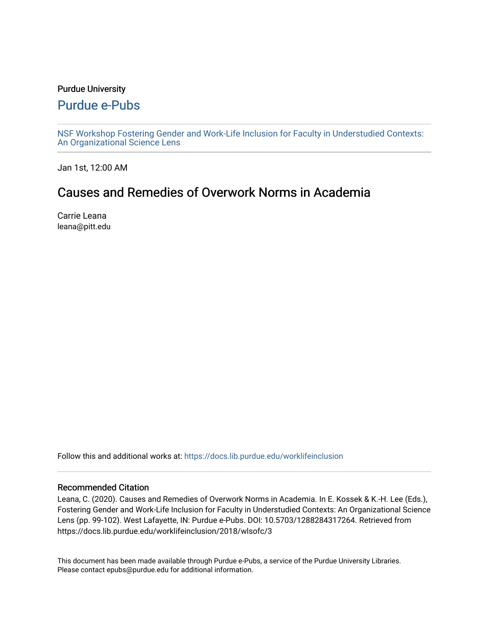#### Purdue University

### [Purdue e-Pubs](https://docs.lib.purdue.edu/)

[NSF Workshop Fostering Gender and Work-Life Inclusion for Faculty in Understudied Contexts:](https://docs.lib.purdue.edu/worklifeinclusion)  [An Organizational Science Lens](https://docs.lib.purdue.edu/worklifeinclusion)

Jan 1st, 12:00 AM

# Causes and Remedies of Overwork Norms in Academia

Carrie Leana leana@pitt.edu

Follow this and additional works at: [https://docs.lib.purdue.edu/worklifeinclusion](https://docs.lib.purdue.edu/worklifeinclusion?utm_source=docs.lib.purdue.edu%2Fworklifeinclusion%2F2018%2Fwlsofc%2F3&utm_medium=PDF&utm_campaign=PDFCoverPages) 

#### Recommended Citation

Leana, C. (2020). Causes and Remedies of Overwork Norms in Academia. In E. Kossek & K.-H. Lee (Eds.), Fostering Gender and Work-Life Inclusion for Faculty in Understudied Contexts: An Organizational Science Lens (pp. 99-102). West Lafayette, IN: Purdue e-Pubs. DOI: 10.5703/1288284317264. Retrieved from https://docs.lib.purdue.edu/worklifeinclusion/2018/wlsofc/3

This document has been made available through Purdue e-Pubs, a service of the Purdue University Libraries. Please contact epubs@purdue.edu for additional information.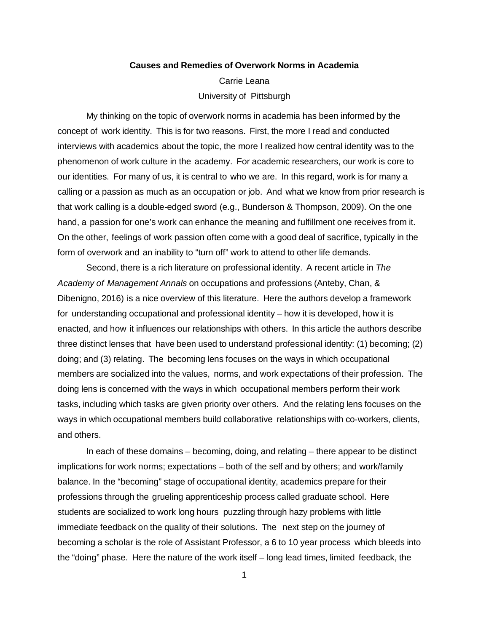## **Causes and Remedies of Overwork Norms in Academia**  University of Pittsburgh Carrie Leana

 My thinking on the topic of overwork norms in academia has been informed by the concept of work identity. This is for two reasons. First, the more I read and conducted interviews with academics about the topic, the more I realized how central identity was to the phenomenon of work culture in the academy. For academic researchers, our work is core to our identities. For many of us, it is central to who we are. In this regard, work is for many a calling or a passion as much as an occupation or job. And what we know from prior research is that work calling is a double‐edged sword (e.g., Bunderson & Thompson, 2009). On the one hand, a passion for one's work can enhance the meaning and fulfillment one receives from it. On the other, feelings of work passion often come with a good deal of sacrifice, typically in the form of overwork and an inability to "turn off" work to attend to other life demands.

 Second, there is a rich literature on professional identity. A recent article in *The Academy of Management Annals* on occupations and professions (Anteby, Chan, & Dibenigno, 2016) is a nice overview of this literature. Here the authors develop a framework for understanding occupational and professional identity – how it is developed, how it is enacted, and how it influences our relationships with others. In this article the authors describe three distinct lenses that have been used to understand professional identity: (1) becoming; (2) doing; and (3) relating. The becoming lens focuses on the ways in which occupational members are socialized into the values, norms, and work expectations of their profession. The doing lens is concerned with the ways in which occupational members perform their work tasks, including which tasks are given priority over others. And the relating lens focuses on the ways in which occupational members build collaborative relationships with co‐workers, clients, and others.

 In each of these domains – becoming, doing, and relating – there appear to be distinct implications for work norms; expectations – both of the self and by others; and work/family balance. In the "becoming" stage of occupational identity, academics prepare for their professions through the grueling apprenticeship process called graduate school. Here students are socialized to work long hours puzzling through hazy problems with little immediate feedback on the quality of their solutions. The next step on the journey of becoming a scholar is the role of Assistant Professor, a 6 to 10 year process which bleeds into the "doing" phase. Here the nature of the work itself – long lead times, limited feedback, the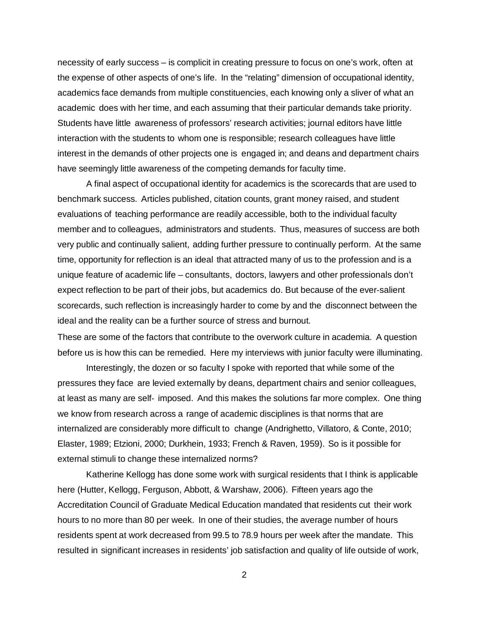necessity of early success – is complicit in creating pressure to focus on one's work, often at the expense of other aspects of one's life. In the "relating" dimension of occupational identity, academics face demands from multiple constituencies, each knowing only a sliver of what an academic does with her time, and each assuming that their particular demands take priority. Students have little awareness of professors' research activities; journal editors have little interaction with the students to whom one is responsible; research colleagues have little interest in the demands of other projects one is engaged in; and deans and department chairs have seemingly little awareness of the competing demands for faculty time.

 A final aspect of occupational identity for academics is the scorecards that are used to benchmark success. Articles published, citation counts, grant money raised, and student evaluations of teaching performance are readily accessible, both to the individual faculty member and to colleagues, administrators and students. Thus, measures of success are both very public and continually salient, adding further pressure to continually perform. At the same time, opportunity for reflection is an ideal that attracted many of us to the profession and is a unique feature of academic life – consultants, doctors, lawyers and other professionals don't expect reflection to be part of their jobs, but academics do. But because of the ever‐salient scorecards, such reflection is increasingly harder to come by and the disconnect between the ideal and the reality can be a further source of stress and burnout.

 These are some of the factors that contribute to the overwork culture in academia. A question before us is how this can be remedied. Here my interviews with junior faculty were illuminating.

 Interestingly, the dozen or so faculty I spoke with reported that while some of the pressures they face are levied externally by deans, department chairs and senior colleagues, at least as many are self‐ imposed. And this makes the solutions far more complex. One thing we know from research across a range of academic disciplines is that norms that are internalized are considerably more difficult to change (Andrighetto, Villatoro, & Conte, 2010; Elaster, 1989; Etzioni, 2000; Durkhein, 1933; French & Raven, 1959). So is it possible for external stimuli to change these internalized norms?

 Katherine Kellogg has done some work with surgical residents that I think is applicable here (Hutter, Kellogg, Ferguson, Abbott, & Warshaw, 2006). Fifteen years ago the Accreditation Council of Graduate Medical Education mandated that residents cut their work hours to no more than 80 per week. In one of their studies, the average number of hours residents spent at work decreased from 99.5 to 78.9 hours per week after the mandate. This resulted in significant increases in residents' job satisfaction and quality of life outside of work,

2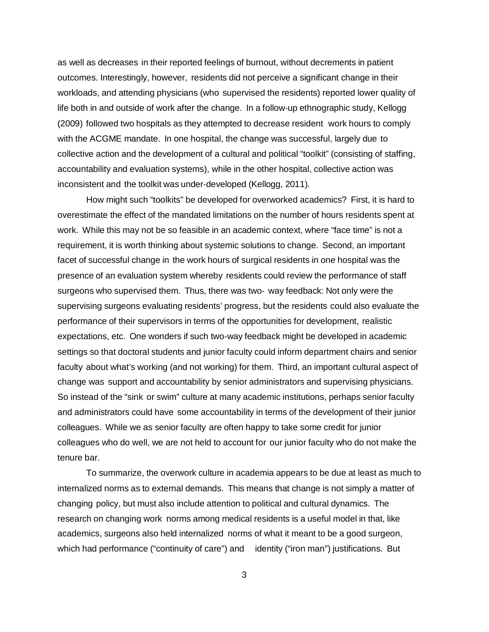as well as decreases in their reported feelings of burnout, without decrements in patient outcomes. Interestingly, however, residents did not perceive a significant change in their workloads, and attending physicians (who supervised the residents) reported lower quality of life both in and outside of work after the change. In a follow‐up ethnographic study, Kellogg (2009) followed two hospitals as they attempted to decrease resident work hours to comply with the ACGME mandate. In one hospital, the change was successful, largely due to collective action and the development of a cultural and political "toolkit" (consisting of staffing, accountability and evaluation systems), while in the other hospital, collective action was inconsistent and the toolkit was under‐developed (Kellogg, 2011).

 How might such "toolkits" be developed for overworked academics? First, it is hard to overestimate the effect of the mandated limitations on the number of hours residents spent at work. While this may not be so feasible in an academic context, where "face time" is not a requirement, it is worth thinking about systemic solutions to change. Second, an important facet of successful change in the work hours of surgical residents in one hospital was the presence of an evaluation system whereby residents could review the performance of staff surgeons who supervised them. Thus, there was two‐ way feedback: Not only were the supervising surgeons evaluating residents' progress, but the residents could also evaluate the performance of their supervisors in terms of the opportunities for development, realistic expectations, etc. One wonders if such two‐way feedback might be developed in academic settings so that doctoral students and junior faculty could inform department chairs and senior faculty about what's working (and not working) for them. Third, an important cultural aspect of change was support and accountability by senior administrators and supervising physicians. So instead of the "sink or swim" culture at many academic institutions, perhaps senior faculty and administrators could have some accountability in terms of the development of their junior colleagues. While we as senior faculty are often happy to take some credit for junior colleagues who do well, we are not held to account for our junior faculty who do not make the tenure bar.

 To summarize, the overwork culture in academia appears to be due at least as much to internalized norms as to external demands. This means that change is not simply a matter of changing policy, but must also include attention to political and cultural dynamics. The research on changing work norms among medical residents is a useful model in that, like academics, surgeons also held internalized norms of what it meant to be a good surgeon, which had performance ("continuity of care") and identity ("iron man") justifications. But

3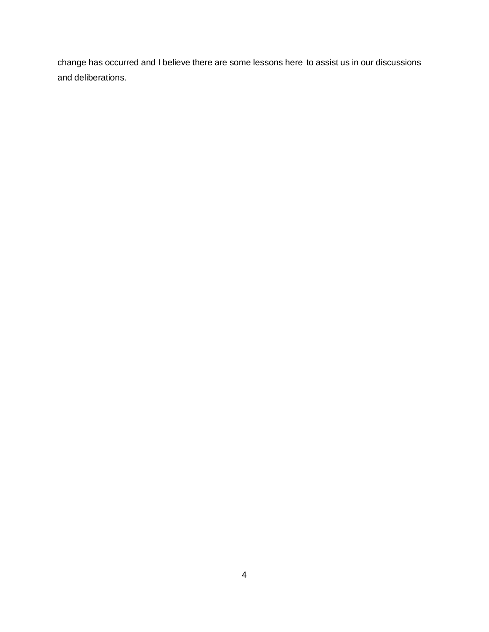change has occurred and I believe there are some lessons here to assist us in our discussions and deliberations.